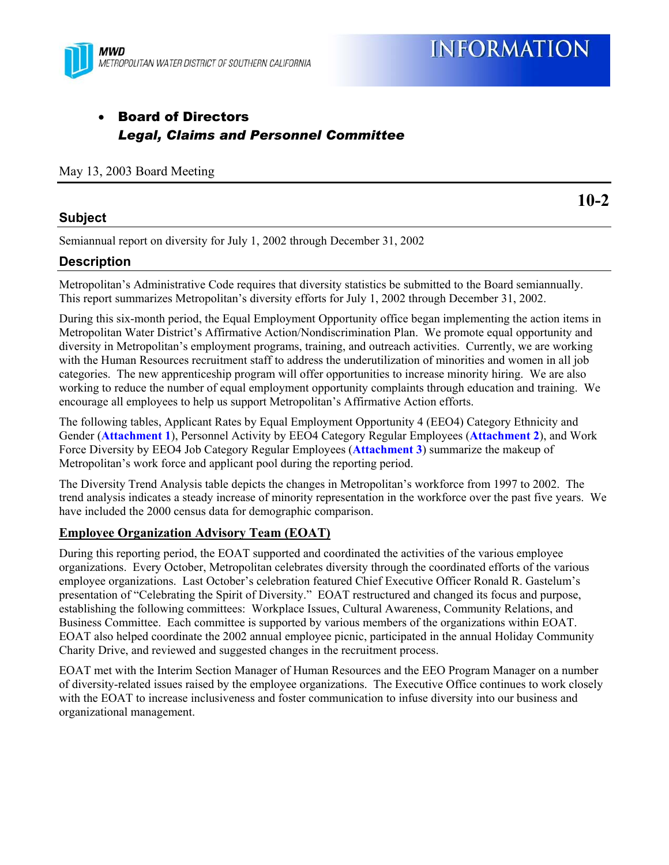

## • Board of Directors *Legal, Claims and Personnel Committee*

May 13, 2003 Board Meeting

#### **Subject**

**10-2**

Semiannual report on diversity for July 1, 2002 through December 31, 2002

### **Description**

Metropolitan's Administrative Code requires that diversity statistics be submitted to the Board semiannually. This report summarizes Metropolitan's diversity efforts for July 1, 2002 through December 31, 2002.

During this six-month period, the Equal Employment Opportunity office began implementing the action items in Metropolitan Water District's Affirmative Action/Nondiscrimination Plan. We promote equal opportunity and diversity in Metropolitan's employment programs, training, and outreach activities. Currently, we are working with the Human Resources recruitment staff to address the underutilization of minorities and women in all job categories. The new apprenticeship program will offer opportunities to increase minority hiring. We are also working to reduce the number of equal employment opportunity complaints through education and training. We encourage all employees to help us support Metropolitan's Affirmative Action efforts.

The following tables, Applicant Rates by Equal Employment Opportunity 4 (EEO4) Category Ethnicity and Gender (**Attachment 1**), Personnel Activity by EEO4 Category Regular Employees (**Attachment 2**), and Work Force Diversity by EEO4 Job Category Regular Employees (**Attachment 3**) summarize the makeup of Metropolitan's work force and applicant pool during the reporting period.

The Diversity Trend Analysis table depicts the changes in Metropolitan's workforce from 1997 to 2002. The trend analysis indicates a steady increase of minority representation in the workforce over the past five years. We have included the 2000 census data for demographic comparison.

#### **Employee Organization Advisory Team (EOAT)**

During this reporting period, the EOAT supported and coordinated the activities of the various employee organizations. Every October, Metropolitan celebrates diversity through the coordinated efforts of the various employee organizations. Last October's celebration featured Chief Executive Officer Ronald R. Gastelum's presentation of "Celebrating the Spirit of Diversity." EOAT restructured and changed its focus and purpose, establishing the following committees: Workplace Issues, Cultural Awareness, Community Relations, and Business Committee. Each committee is supported by various members of the organizations within EOAT. EOAT also helped coordinate the 2002 annual employee picnic, participated in the annual Holiday Community Charity Drive, and reviewed and suggested changes in the recruitment process.

EOAT met with the Interim Section Manager of Human Resources and the EEO Program Manager on a number of diversity-related issues raised by the employee organizations. The Executive Office continues to work closely with the EOAT to increase inclusiveness and foster communication to infuse diversity into our business and organizational management.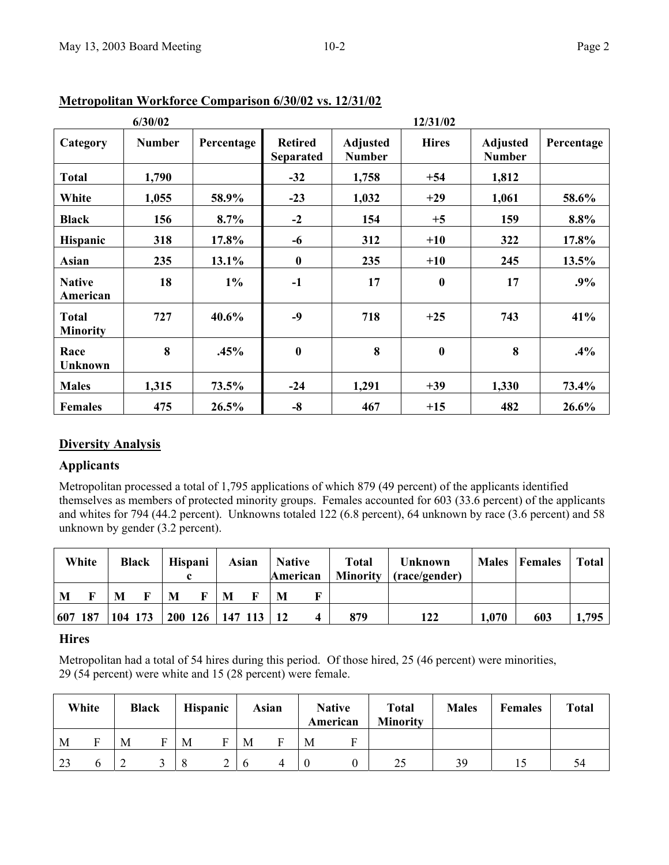|                                 | 6/30/02       |            |                                    |                                  | 12/31/02         |                                  |            |
|---------------------------------|---------------|------------|------------------------------------|----------------------------------|------------------|----------------------------------|------------|
| Category                        | <b>Number</b> | Percentage | <b>Retired</b><br><b>Separated</b> | <b>Adjusted</b><br><b>Number</b> | <b>Hires</b>     | <b>Adjusted</b><br><b>Number</b> | Percentage |
| <b>Total</b>                    | 1,790         |            | $-32$                              | 1,758                            | $+54$            | 1,812                            |            |
| White                           | 1,055         | 58.9%      | $-23$                              | 1,032                            | $+29$            | 1,061                            | 58.6%      |
| <b>Black</b>                    | 156           | $8.7\%$    | $-2$                               | 154                              | $+5$             | 159                              | 8.8%       |
| Hispanic                        | 318           | 17.8%      | -6                                 | 312                              | $+10$            | 322                              | 17.8%      |
| Asian                           | 235           | 13.1%      | $\boldsymbol{0}$                   | 235                              | $+10$            | 245                              | 13.5%      |
| <b>Native</b><br>American       | 18            | $1\%$      | $-1$                               | 17                               | $\boldsymbol{0}$ | 17                               | .9%        |
| <b>Total</b><br><b>Minority</b> | 727           | 40.6%      | $-9$                               | 718                              | $+25$            | 743                              | 41%        |
| Race<br><b>Unknown</b>          | 8             | .45%       | $\boldsymbol{0}$                   | 8                                | $\boldsymbol{0}$ | 8                                | $.4\%$     |
| <b>Males</b>                    | 1,315         | 73.5%      | $-24$                              | 1,291                            | $+39$            | 1,330                            | 73.4%      |
| <b>Females</b>                  | 475           | 26.5%      | $-8$                               | 467                              | $+15$            | 482                              | 26.6%      |

**Metropolitan Workforce Comparison 6/30/02 vs. 12/31/02**

#### **Diversity Analysis**

#### **Applicants**

Metropolitan processed a total of 1,795 applications of which 879 (49 percent) of the applicants identified themselves as members of protected minority groups. Females accounted for 603 (33.6 percent) of the applicants and whites for 794 (44.2 percent). Unknowns totaled 122 (6.8 percent), 64 unknown by race (3.6 percent) and 58 unknown by gender (3.2 percent).

|         | White |         | <b>Black</b> |   | Hispani |           | Asian | <b>Native</b>   |  | <b>Total</b><br><b>Minority</b> | <b>Unknown</b><br>(race/gender) | <b>Males</b> | Females | <b>Total</b> |
|---------|-------|---------|--------------|---|---------|-----------|-------|-----------------|--|---------------------------------|---------------------------------|--------------|---------|--------------|
| M       |       | M       |              | M | F       | M         |       | American<br>M   |  |                                 |                                 |              |         |              |
| 607 187 |       | 104 173 |              |   | 200 126 | $147$ 113 |       | $\overline{12}$ |  | 879                             | 122                             | 1,070        | 603     | 1,795        |

#### **Hires**

Metropolitan had a total of 54 hires during this period. Of those hired, 25 (46 percent) were minorities, 29 (54 percent) were white and 15 (28 percent) were female.

|    | White |   | <b>Black</b> |         | <b>Hispanic</b> |   | Asian |   | <b>Native</b><br>American | <b>Total</b><br><b>Minority</b> | <b>Males</b> | <b>Females</b> | <b>Total</b> |
|----|-------|---|--------------|---------|-----------------|---|-------|---|---------------------------|---------------------------------|--------------|----------------|--------------|
| M  |       | M |              | M       | г               | M |       | M |                           |                                 |              |                |              |
| 23 |       |   |              | $\circ$ |                 |   |       |   |                           | 25                              | 39           |                | 54           |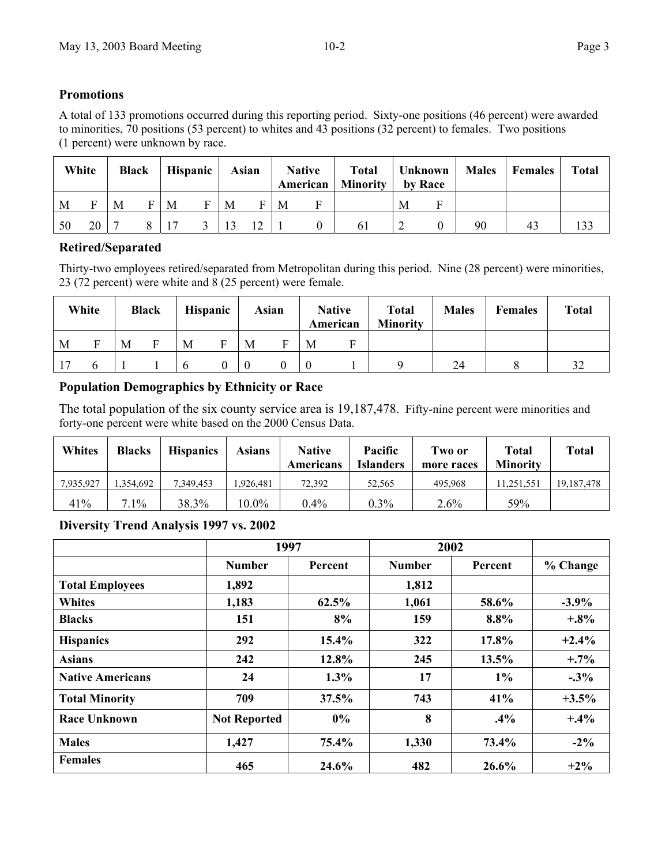#### **Promotions**

A total of 133 promotions occurred during this reporting period. Sixty-one positions (46 percent) were awarded to minorities, 70 positions (53 percent) to whites and 43 positions (32 percent) to females. Two positions (1 percent) were unknown by race.

|    | White |   | <b>Black</b> |   | Hispanic | Asian |    |   | <b>Native</b> | <b>American</b>   Minority   by Race |   |    | Total   Unknown   Males   Females | <b>Total</b> |
|----|-------|---|--------------|---|----------|-------|----|---|---------------|--------------------------------------|---|----|-----------------------------------|--------------|
| M  | Е     | M | F            | M | F        | M     | F  | M |               |                                      | M |    |                                   |              |
| 50 | 20    |   |              |   |          |       | 12 |   |               | 61                                   |   | 90 |                                   |              |

#### **Retired/Separated**

Thirty-two employees retired/separated from Metropolitan during this period. Nine (28 percent) were minorities, 23 (72 percent) were white and 8 (25 percent) were female.

|   | White |   | <b>Black</b> |   | <b>Hispanic</b> |   | Asian |   | <b>Native</b><br>American | <b>Total</b><br><b>Minority</b> | <b>Males</b> | <b>Females</b> | <b>Total</b>       |
|---|-------|---|--------------|---|-----------------|---|-------|---|---------------------------|---------------------------------|--------------|----------------|--------------------|
| M |       | M |              | M |                 | M |       | M | F                         |                                 |              |                |                    |
|   |       |   |              |   |                 |   |       |   |                           |                                 | 24           |                | $3^{\circ}$<br>ے ر |

#### **Population Demographics by Ethnicity or Race**

The total population of the six county service area is 19,187,478. Fifty-nine percent were minorities and forty-one percent were white based on the 2000 Census Data.

| <b>Whites</b> | <b>Blacks</b> | <b>Hispanics</b> | <b>Asians</b> | <b>Native</b><br>Americans | Pacific<br><b>Islanders</b> | Two or<br>more races | Total<br><b>Minority</b> | <b>Total</b> |
|---------------|---------------|------------------|---------------|----------------------------|-----------------------------|----------------------|--------------------------|--------------|
| 7,935,927     | .354.692      | 7.349.453        | .926.481      | 72.392                     | 52.565                      | 495.968              | 11,251,551               | 19, 187, 478 |
| 41%           | 7.1%          | 38.3%            | $10.0\%$      | $0.4\%$                    | $0.3\%$                     | $2.6\%$              | 59%                      |              |

#### **Diversity Trend Analysis 1997 vs. 2002**

|                         | 1997                |         | 2002          |         |          |
|-------------------------|---------------------|---------|---------------|---------|----------|
|                         | <b>Number</b>       | Percent | <b>Number</b> | Percent | % Change |
| <b>Total Employees</b>  | 1,892               |         | 1,812         |         |          |
| <b>Whites</b>           | 1,183               | 62.5%   | 1,061         | 58.6%   | $-3.9\%$ |
| <b>Blacks</b>           | 151                 | 8%      | 159           | $8.8\%$ | $+3%$    |
| <b>Hispanics</b>        | 292                 | 15.4%   | 322           | 17.8%   | $+2.4%$  |
| <b>Asians</b>           | 242                 | 12.8%   | 245           | 13.5%   | $+7\%$   |
| <b>Native Americans</b> | 24                  | 1.3%    | 17            | $1\%$   | $-0.3\%$ |
| <b>Total Minority</b>   | 709                 | 37.5%   | 743           | 41%     | $+3.5\%$ |
| <b>Race Unknown</b>     | <b>Not Reported</b> | 0%      | 8             | $.4\%$  | $+4\%$   |
| <b>Males</b>            | 1,427               | 75.4%   | 1,330         | 73.4%   | $-2\%$   |
| <b>Females</b>          | 465                 | 24.6%   | 482           | 26.6%   | $+2\%$   |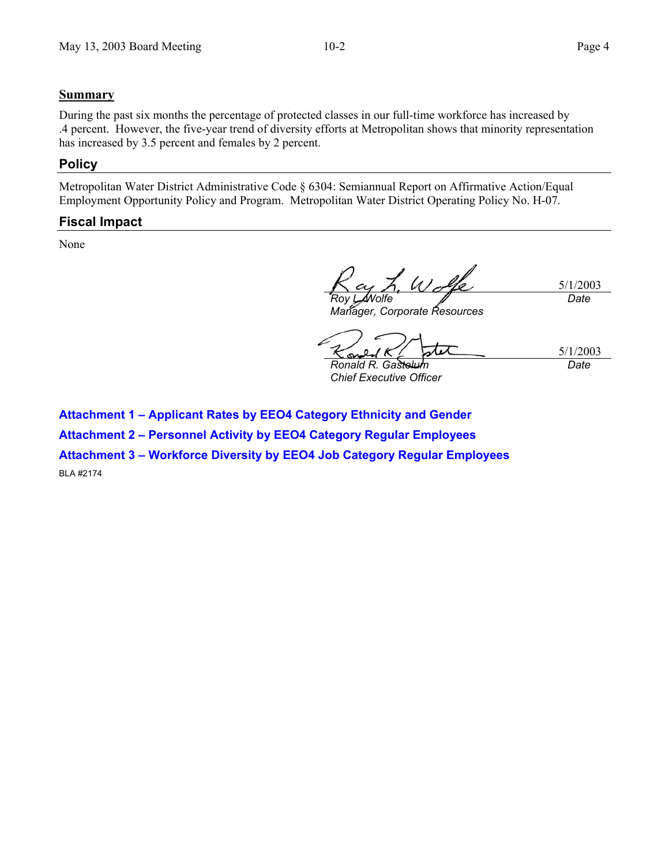#### **Summary**

During the past six months the percentage of protected classes in our full-time workforce has increased by .4 percent. However, the five-year trend of diversity efforts at Metropolitan shows that minority representation has increased by 3.5 percent and females by 2 percent.

#### **Policy**

Metropolitan Water District Administrative Code § 6304: Semiannual Report on Affirmative Action/Equal Employment Opportunity Policy and Program. Metropolitan Water District Operating Policy No. H-07.

#### **Fiscal Impact**

None

5/1/2003 *Roy L. Wolfe Date*

*Manager, Corporate Resources* 

5/1/2003 **Ronald R. Gastelu** 

*Chief Executive Officer* 

*Date*

**Attachment 1 – Applicant Rates by EEO4 Category Ethnicity and Gender** 

**Attachment 2 – Personnel Activity by EEO4 Category Regular Employees** 

**Attachment 3 – Workforce Diversity by EEO4 Job Category Regular Employees** 

BLA #2174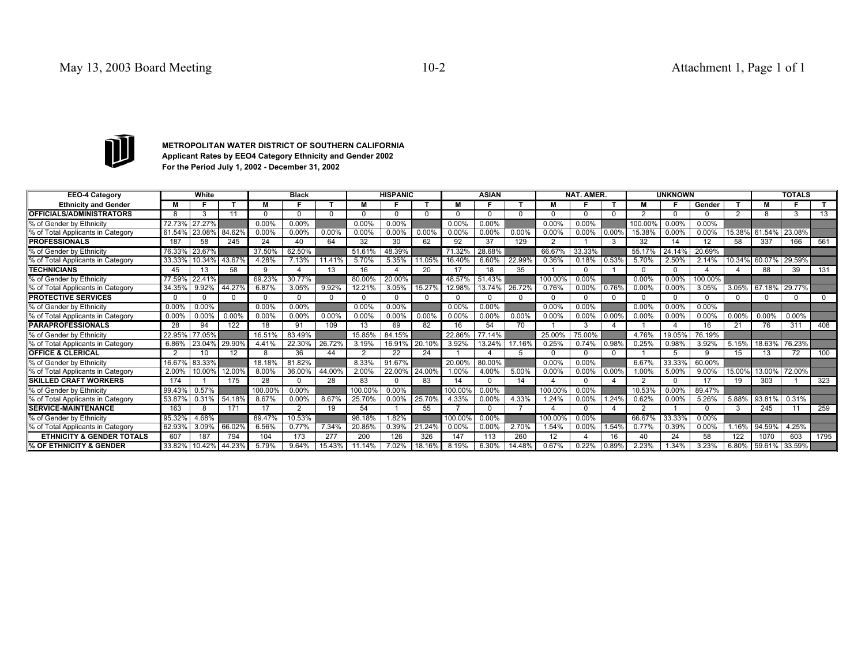

**METROPOLITAN WATER DISTRICT OF SOUTHERN CALIFORNIA Applicant Rates by EEO4 Category Ethnicity and Gender 2002 For the Period July 1, 2002 - December 31, 2002**

| <b>EEO-4 Category</b>                |        | White  |               |        | <b>Black</b> |          |               | <b>HISPANIC</b> |        |          | <b>ASIAN</b> |        |         | <b>NAT. AMER.</b> |       |         | <b>UNKNOWN</b> |         |                   |                      | <b>TOTALS</b> |      |
|--------------------------------------|--------|--------|---------------|--------|--------------|----------|---------------|-----------------|--------|----------|--------------|--------|---------|-------------------|-------|---------|----------------|---------|-------------------|----------------------|---------------|------|
| <b>Ethnicity and Gender</b>          |        |        |               | м      |              |          | м             |                 |        |          |              |        | M       |                   |       | м       |                | Gender  |                   | м                    |               |      |
| <b>OFFICIALS/ADMINISTRATORS</b>      |        | 3      | 11            |        |              | $\Omega$ | $\cap$        | $\Omega$        |        |          |              |        |         |                   |       | ◠       |                |         |                   | 8                    |               | 13   |
| % of Gender by Ethnicity             | 72.73% | 27.27% |               | 0.00%  | 0.00%        |          | 0.00%         | 0.00%           |        | $0.00\%$ | $0.00\%$     |        | 0.00%   | $0.00\%$          |       | 100.00% | 0.00%          | 0.00%   |                   |                      |               |      |
| % of Total Applicants in Category    | 61.54% | 23.08% | 84.62%        | 0.00%  | 0.00%        | 0.00%    | 0.00%         | 0.00%           | 0.00%  | 0.00%    | $0.00\%$     | 0.00%  | 0.00%   | 0.00%             | 0.00% | 15.38%  | 0.00%          | 0.00%   |                   | 15.38% 61.54% 23.08% |               |      |
| <b>PROFESSIONALS</b>                 | 187    | 58     | 245           | 24     | 40           | 64       | 32            | 30              | 62     | 92       | 37           | 129    |         |                   |       | 32      | 14             | 12      | 58                | 337                  | 166           | 561  |
| % of Gender by Ethnicity             | 76.33% | 23.67% |               | 37.50% | 62.50%       |          | 51.61%        | 48.39%          |        | 71.32%   | 28.68%       |        | 66.67%  | 33.33%            |       | 55.17%  | 24.14%         | 20.69%  |                   |                      |               |      |
| % of Total Applicants in Category    | 33.33% | 10.34% | 43.67%        | 4.28%  | 7.13%        | 11.41%   | 5.70%         | 5.35%           | 11.05% | 16.40%   | 6.60%        | 22.99% | 0.36%   | 0.18%             | 0.53% | 5.70%   | 2.50%          | 2.14%   |                   | 10.34% 60.07%        | 29.59%        |      |
| <b>TECHNICIANS</b>                   | 45     | 13     | 58            | a      |              | 13       | 16            |                 | 20     |          |              | 35     |         |                   |       |         |                |         |                   | 88                   | 39            | 131  |
| % of Gender by Ethnicity             | 77.59% | 22.41% |               | 69.23% | 30.77%       |          | 80.00%        | 20.00%          |        | 48.57%   | 51.43%       |        | 100.00% | $0.00\%$          |       | 0.00%   | 0.00%          | 100.00% |                   |                      |               |      |
| % of Total Applicants in Category    | 34.35% | 9.92%  | 44.27%        | 6.87%  | 3.05%        | 9.92%    | 12.21%        | 3.05%           | 15.27% | 12.98%   | 13.74%       | 26.72% | 0.76%   | 0.00%             | 0.76% | 0.00%   | 0.00%          | 3.05%   |                   | 3.05% 67.18% 29.77%  |               |      |
| <b>PROTECTIVE SERVICES</b>           |        |        | $\Omega$      |        |              | $\Omega$ | $\Omega$      | $\Omega$        |        |          |              |        |         |                   |       |         |                |         |                   | $\Omega$             | <sup>0</sup>  |      |
| % of Gender by Ethnicity             | 0.00%  | 0.00%  |               | 0.00%  | 0.00%        |          | 0.00%         | 0.00%           |        | 0.00%    | $0.00\%$     |        | 0.00%   | 0.00%             |       | 0.00%   | 0.00%          | 0.00%   |                   |                      |               |      |
| % of Total Applicants in Category    | 0.00%  | 0.00%  | 0.00%         | 0.00%  | 0.00%        | 0.00%    | 0.00%         | 0.00%           | 0.00%  | 0.00%    | 0.00%        | 0.00%  | 0.00%   | 0.00%             | 0.00% | 0.00%   | 0.00%          | 0.00%   | 0.00%             | $0.00\%$             | 0.00%         |      |
| <b>PARAPROFESSIONALS</b>             | 28     | 94     | 122           | 18     | 91           | 109      | 13            | 69              | 82     | 16       | 54           | 70     |         |                   | Δ     |         |                | 16      | 21                | 76                   | 311           | 408  |
| % of Gender by Ethnicity             | 22.95% | 77.05% |               | 16.51% | 83.49%       |          | 15.85%        | 84.15%          |        | 22.86%   | 77.14%       |        | 25.00%  | 75.00%            |       | 4.76%   | 19.05%         | 76.19%  |                   |                      |               |      |
| % of Total Applicants in Category    | 6.86%  | 23.04% | 29.90%        | 4.41%  | 22.30%       | 26.72%   | 3.19%         | 16.91%          | 20.10% | 3.92%    | 13.24%       | 17.16% | 0.25%   | 0.74%             | 0.98% | 0.25%   | 0.98%          | 3.92%   | 5.15%             | 18.63%               | 76.23%        |      |
| <b>OFFICE &amp; CLERICAL</b>         |        | 10     | 12            | я      | 36           | 44       | 2             | 22              | 24     |          |              |        |         |                   |       |         | 5              |         | 15                | 13                   | 72            | 100  |
| % of Gender by Ethnicity             | 16.67% | 83.33% |               | 18.18% | 81.82%       |          | 8.33%         | 91.67%          |        | 20.00%   | 80.00%       |        | 0.00%   | 0.00%             |       | 6.67%   | 33.33%         | 60.00%  |                   |                      |               |      |
| % of Total Applicants in Category    | 2.00%  | 10.00% | 12.00%        | 8.00%  | 36.00%       | 44.00%   | 2.00%         | 22.00%          | 24.00% | 1.00%    | 4.00%        | 5.00%  | 0.00%   | 0.00%             | 0.00  | 1.00%   | 5.00%          | 9.00%   | 15.00%            | 13.00%               | 72.00%        |      |
| <b>SKILLED CRAFT WORKERS</b>         | 174    |        | 175           | 28     |              | 28       | 83            | $\Omega$        | 83     |          |              | 14     |         |                   |       | ◠       |                | 17      | 19                | 303                  |               | 323  |
| % of Gender by Ethnicity             | 99.43% | 0.57%  |               | 100.00 | $0.00\%$     |          | 100.00        | $0.00\%$        |        | 100.00   | 0.00%        |        | 100.00% | 0.00%             |       | 10.53%  | 0.00%          | 89.47%  |                   |                      |               |      |
| % of Total Applicants in Category    | 53.87% | 0.31%  | 54.18%        | 8.67%  | 0.00%        | 8.67%    | 25.70%        | 0.00%           | 25.70% | 4.33%    | 0.00%        | 4.33%  | 1.24%   | 0.00%             | .249  | 0.62%   | $0.00\%$       | 5.26%   | 5.88%             | 93.81%               | 0.31%         |      |
| <b>SERVICE-MAINTENANCE</b>           | 163    |        | 171           | 17     | 2            | 19       | 54            |                 | 55     |          |              |        |         |                   |       |         |                |         |                   | 245                  | 11            | 259  |
| % of Gender by Ethnicity             | 95.32% | 4.68%  |               | 89.47% | 10.53%       |          | 98.18%        | 1.82%           |        | 100.00%  | 0.00%        |        | 100.00% | 0.00%             |       | 66.67%  | 33.33%         | 0.00%   |                   |                      |               |      |
| % of Total Applicants in Category    | 62.93% | 3.09%  | 66.02%        | 6.56%  | 0.77%        | 7.34%    | 20.85%        | 0.39%           | 21.24% | 0.00%    | 0.00%        | 2.70%  | 1.54%   | 0.00%             | .54%  | 0.77%   | 0.39%          | 0.00%   | 1.16 <sup>o</sup> | 94.59%               | 4.25%         |      |
| <b>ETHNICITY &amp; GENDER TOTALS</b> | 607    | 187    | 794           | 104    | 173          | 277      | 200           | 126             | 326    | 147      | 113          | 260    | 12      |                   | 16    | 40      | 24             | 58      | 122               | 1070                 | 603           | 1795 |
| % OF ETHNICITY & GENDER              | 33.82% |        | 10.42% 44.23% | 5.79%  | 9.64%        |          | 15.43% 11.14% | 7.02%           | 18.16% | 8.19%    | 6.30%        | 14.48% | 0.67%   | 0.22%             | 0.89% | 2.23%   | 1.34%          | 3.23%   |                   | 6.80% 59.61% 33.59%  |               |      |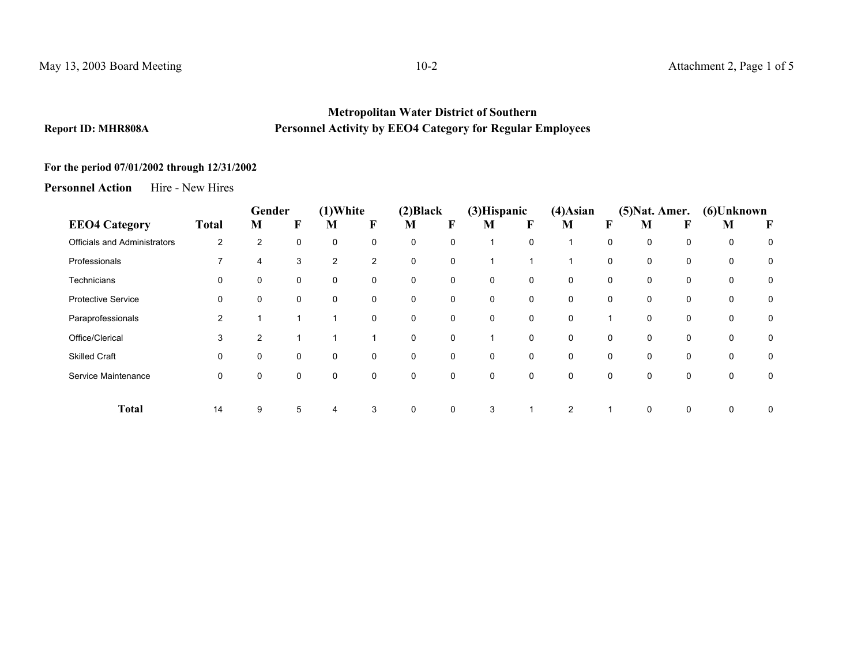#### **Metropolitan Water District of Southern Report ID: MHR808A Personnel Activity by EEO4 Category for Regular Employees**

#### **For the period 07/01/2002 through 12/31/2002**

**Personnel Action** Hire - New Hires

|                              |              | Gender         |   | $(1)$ White    |             | (2) Black |             | (3) Hispanic |             | $(4)$ Asian  |             | $(5)$ Nat. Amer. |   | (6)Unknown  |   |
|------------------------------|--------------|----------------|---|----------------|-------------|-----------|-------------|--------------|-------------|--------------|-------------|------------------|---|-------------|---|
| <b>EEO4 Category</b>         | <b>Total</b> | M              | F | M              | $\mathbf F$ | M         | F           | M            | F           | M            | F           | M                | F | M           | F |
| Officials and Administrators | 2            | $\overline{2}$ | 0 | 0              | 0           | 0         | 0           |              | $\Omega$    |              | $\mathbf 0$ | $\Omega$         | 0 | 0           | 0 |
| Professionals                |              | 4              | 3 | $\overline{2}$ | 2           | 0         | 0           |              |             |              | 0           | 0                | 0 | 0           | 0 |
| Technicians                  | 0            | 0              | 0 | 0              | 0           | 0         | 0           | 0            | 0           | 0            | 0           | 0                | 0 | 0           | 0 |
| <b>Protective Service</b>    | 0            | 0              | 0 | 0              | 0           | 0         | 0           | $\mathbf 0$  | 0           | 0            | 0           | 0                | 0 | 0           | 0 |
| Paraprofessionals            | 2            |                | 1 |                | 0           | 0         | 0           | $\mathbf{0}$ | $\mathbf 0$ | $\mathbf{0}$ |             | 0                | 0 | 0           | 0 |
| Office/Clerical              | 3            | $\overline{2}$ | 1 |                |             | 0         | $\mathbf 0$ |              | $\mathbf 0$ | $\Omega$     | $\mathbf 0$ | 0                | 0 | 0           | 0 |
| <b>Skilled Craft</b>         | 0            | 0              | 0 | 0              | 0           | 0         | 0           | 0            | 0           | 0            | 0           | 0                | 0 | 0           | 0 |
| Service Maintenance          | 0            | 0              | 0 | 0              | 0           | 0         | 0           | $\mathbf{0}$ | $\mathbf 0$ | $\Omega$     | $\mathbf 0$ | $\Omega$         | 0 | $\mathbf 0$ | 0 |
| <b>Total</b>                 | 14           | 9              | 5 | 4              | 3           | 0         | 0           | 3            |             | 2            |             | $\mathbf 0$      | 0 | 0           | 0 |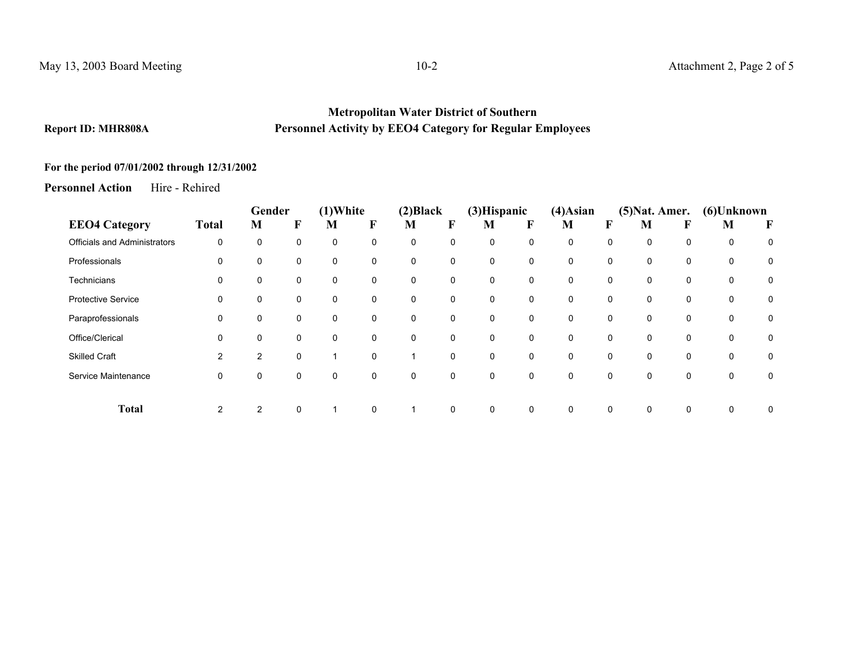#### **Metropolitan Water District of Southern Report ID: MHR808A Personnel Activity by EEO4 Category for Regular Employees**

### **For the period 07/01/2002 through 12/31/2002**

**Personnel Action** Hire - Rehired

|                                     |              | Gender         |   | $(1)$ White |             | (2) Black   |             | $(3)$ Hispanic |   | $(4)$ Asian |             | $(5)$ Nat. Amer. |   | (6)Unknown |   |
|-------------------------------------|--------------|----------------|---|-------------|-------------|-------------|-------------|----------------|---|-------------|-------------|------------------|---|------------|---|
| <b>EEO4 Category</b>                | <b>Total</b> | M              | F | M           | F           | M           | F           | M              | F | M           |             | M                |   | M          | F |
| <b>Officials and Administrators</b> | 0            | 0              | 0 | 0           | 0           | 0           | 0           | 0              | 0 | 0           | 0           | 0                | 0 | 0          | 0 |
| Professionals                       | 0            | 0              | 0 | $\mathbf 0$ | 0           | $\mathbf 0$ | $\mathbf 0$ | $\Omega$       | 0 | 0           | 0           | 0                | 0 | 0          | 0 |
| Technicians                         | 0            | 0              | 0 | 0           | 0           | 0           | 0           | $\mathbf{0}$   | 0 | 0           | 0           | 0                | 0 | 0          | 0 |
| <b>Protective Service</b>           | 0            | 0              | 0 | 0           | 0           | 0           | 0           | $\mathbf 0$    | 0 | 0           | 0           | 0                | 0 | 0          | 0 |
| Paraprofessionals                   | 0            | 0              | 0 | 0           | 0           | 0           | $\mathbf 0$ | 0              | 0 | 0           | 0           | 0                | 0 | 0          | 0 |
| Office/Clerical                     | 0            | 0              | 0 | 0           | 0           | $\mathbf 0$ | $\mathbf 0$ | $\Omega$       | 0 | $\Omega$    | 0           | 0                | 0 | 0          | 0 |
| <b>Skilled Craft</b>                | 2            | $\overline{2}$ | 0 |             | $\mathbf 0$ | 1           | $\mathbf 0$ | 0              | 0 | 0           | 0           | 0                | 0 | 0          | 0 |
| Service Maintenance                 | 0            | 0              | 0 | 0           | 0           | 0           | 0           | 0              | 0 | 0           | 0           | 0                | 0 | 0          | 0 |
|                                     |              |                |   |             |             |             |             |                |   |             |             |                  |   |            |   |
| <b>Total</b>                        | 2            | 2              | 0 | 1           | $\mathbf 0$ | $\mathbf 1$ | 0           | 0              | 0 | 0           | $\mathbf 0$ | 0                | 0 | 0          | 0 |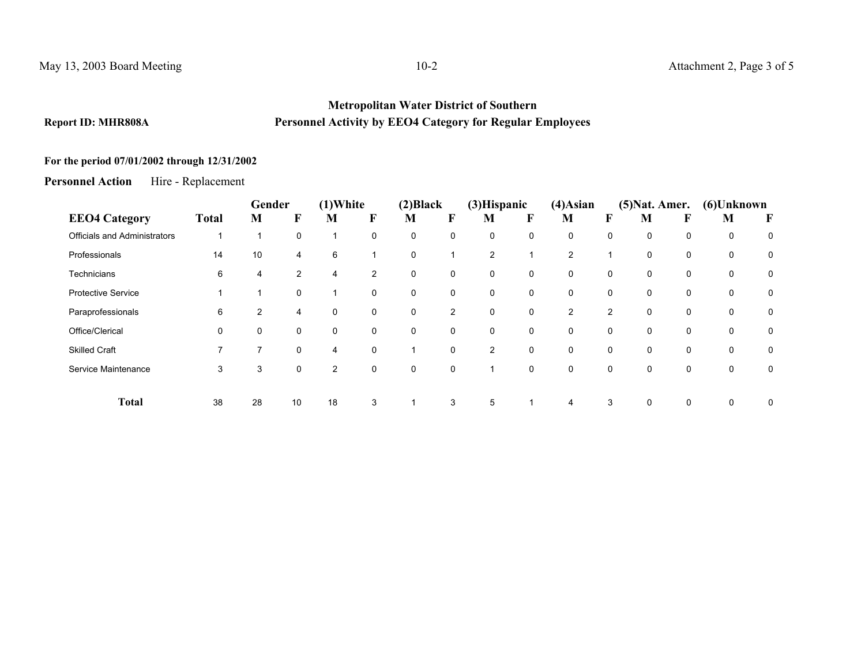#### **Metropolitan Water District of Southern Report ID: MHR808A Personnel Activity by EEO4 Category for Regular Employees**

# **For the period 07/01/2002 through 12/31/2002**

**Personnel Action**Hire - Replacement

|                                     |                          | Gender         |    | $(1)$ White    |             | (2) Black                |              | (3) Hispanic   |          | $(4)$ Asian |                | $(5)$ Nat. Amer. |             | (6)Unknown |   |
|-------------------------------------|--------------------------|----------------|----|----------------|-------------|--------------------------|--------------|----------------|----------|-------------|----------------|------------------|-------------|------------|---|
| <b>EEO4 Category</b>                | <b>Total</b>             | M              | F  | M              | F           | M                        | F            | M              | F        | M           | F              | M                |             | M          | F |
| <b>Officials and Administrators</b> | $\overline{\phantom{a}}$ |                | 0  | ٠              | 0           | 0                        | 0            | 0              | 0        | 0           | 0              | 0                | 0           | 0          | 0 |
| Professionals                       | 14                       | 10             | 4  | 6              |             | $\mathbf 0$              |              | $\overline{2}$ |          | 2           | 1              | $\mathbf 0$      | $\mathbf 0$ | 0          | 0 |
| Technicians                         | 6                        | 4              | 2  | 4              | 2           | 0                        | $\mathbf{0}$ | 0              | 0        | 0           | 0              | 0                | 0           | 0          | 0 |
| <b>Protective Service</b>           |                          |                | 0  |                | 0           | $\mathbf 0$              | 0            | 0              | 0        | 0           | 0              | 0                | 0           | 0          | 0 |
| Paraprofessionals                   | 6                        | $\overline{2}$ | 4  | 0              | $\mathbf 0$ | $\mathbf 0$              | 2            | $\mathbf 0$    | 0        | 2           | $\overline{2}$ | $\mathbf 0$      | $\mathbf 0$ | 0          | 0 |
| Office/Clerical                     | $\mathbf 0$              | $\mathbf 0$    | 0  | 0              | $\mathbf 0$ | $\mathbf 0$              | $\Omega$     | 0              | $\Omega$ | 0           | 0              | $\mathbf 0$      | $\mathbf 0$ | 0          | 0 |
| <b>Skilled Craft</b>                | 7                        | $\overline{7}$ | 0  | 4              | 0           | $\overline{\phantom{a}}$ | 0            | $\overline{2}$ | 0        | $\mathbf 0$ | 0              | $\mathbf 0$      | $\mathbf 0$ | 0          | 0 |
| Service Maintenance                 | 3                        | 3              | 0  | $\overline{2}$ | 0           | $\mathbf 0$              | $\Omega$     |                | 0        | 0           | 0              | $\mathbf 0$      | $\mathbf 0$ | 0          | 0 |
|                                     |                          |                |    |                |             |                          |              |                |          |             |                |                  |             |            |   |
| <b>Total</b>                        | 38                       | 28             | 10 | 18             | 3           |                          | 3            | 5              |          | 4           | 3              | $\mathbf 0$      | $\mathbf 0$ | 0          | 0 |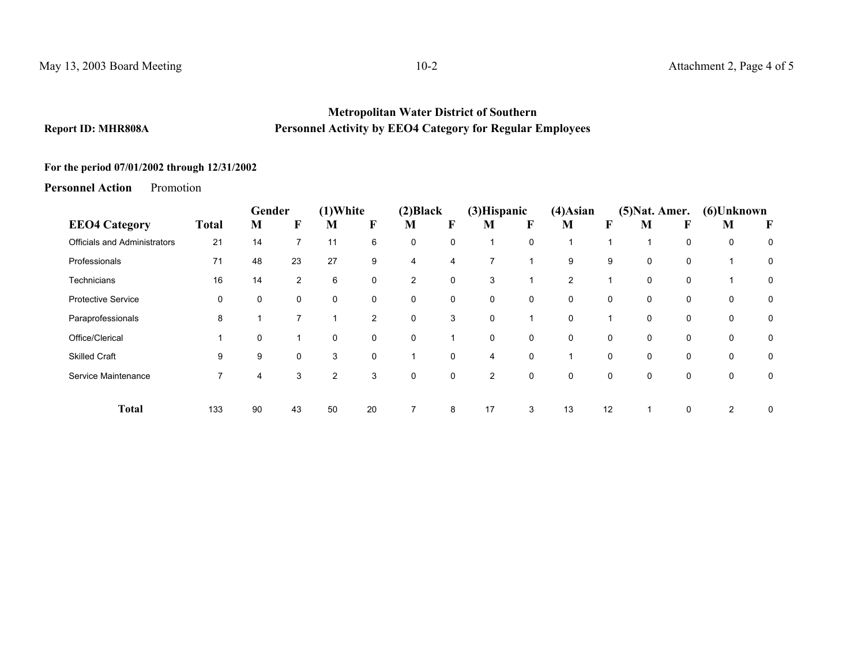#### **Metropolitan Water District of Southern Report ID: MHR808A Personnel Activity by EEO4 Category for Regular Employees**

# **For the period 07/01/2002 through 12/31/2002**

**Personnel Action**Promotion

|                                     |              | Gender |                | $(1)$ White    |                | (2) Black      |                | (3) Hispanic   |              | $(4)$ Asian |             | $(5)$ Nat. Amer. |             | (6)Unknown |   |
|-------------------------------------|--------------|--------|----------------|----------------|----------------|----------------|----------------|----------------|--------------|-------------|-------------|------------------|-------------|------------|---|
| <b>EEO4 Category</b>                | <b>Total</b> | М      | F              | M              | F              | M              | F              | M              | F            | M           | F           | M                | F           | M          | F |
| <b>Officials and Administrators</b> | 21           | 14     | 7              | 11             | 6              | 0              | 0              |                | 0            |             |             |                  | 0           | 0          | 0 |
| Professionals                       | 71           | 48     | 23             | 27             | 9              | 4              | $\overline{4}$ |                |              | 9           | 9           | $\mathbf 0$      | $\mathbf 0$ |            | 0 |
| <b>Technicians</b>                  | 16           | 14     | $\overline{2}$ | 6              | 0              | $\overline{2}$ | 0              | 3              |              | 2           |             | 0                | 0           |            | 0 |
| <b>Protective Service</b>           | 0            | 0      | 0              | 0              | 0              | 0              | 0              | $\mathbf 0$    | 0            | 0           | 0           | $\mathbf 0$      | 0           | 0          | 0 |
| Paraprofessionals                   | 8            |        | 7              |                | $\overline{2}$ | 0              | 3              | 0              |              | 0           |             | $\mathbf 0$      | 0           | 0          | 0 |
| Office/Clerical                     | 1            | 0      | 1              | $\mathbf 0$    | 0              | 0              |                | $\mathbf 0$    | 0            | 0           | $\mathbf 0$ | $\mathbf 0$      | $\mathbf 0$ | 0          | 0 |
| <b>Skilled Craft</b>                | 9            | 9      | 0              | 3              | 0              |                | $\mathbf 0$    | 4              | 0            |             | $\mathbf 0$ | $\mathbf 0$      | 0           | 0          | 0 |
| Service Maintenance                 | 7            | 4      | 3              | $\overline{2}$ | 3              | 0              | 0              | $\overline{2}$ | $\mathbf{0}$ | 0           | $\mathbf 0$ | $\mathbf 0$      | $\mathbf 0$ | 0          | 0 |
|                                     |              |        |                |                |                |                |                |                |              |             |             |                  |             |            |   |
| <b>Total</b>                        | 133          | 90     | 43             | 50             | 20             | 7              | 8              | 17             | 3            | 13          | 12          |                  | 0           | 2          | 0 |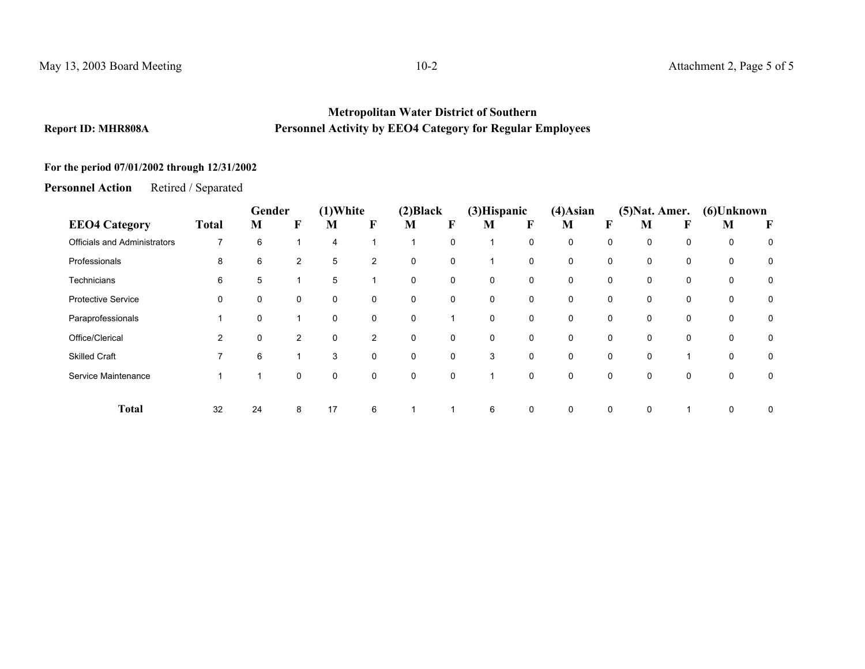#### **Metropolitan Water District of Southern Report ID: MHR808A Personnel Activity by EEO4 Category for Regular Employees**

## **For the period 07/01/2002 through 12/31/2002**

**Personnel Action**Retired / Separated

|                                     |                | Gender |                | $(1)$ White    |                | (2) Black   |             | (3) Hispanic |   | $(4)$ Asian | $(5)$ Nat. Amer. |          |   | (6)Unknown |   |
|-------------------------------------|----------------|--------|----------------|----------------|----------------|-------------|-------------|--------------|---|-------------|------------------|----------|---|------------|---|
| <b>EEO4 Category</b>                | <b>Total</b>   | M      | F              | M              | F              | M           | F           | M            | F | M           | F                | M        | F | M          | F |
| <b>Officials and Administrators</b> | $\overline{7}$ | 6      | и              | $\overline{4}$ |                | 1           | $\mathbf 0$ |              | 0 | 0           | 0                | $\Omega$ | 0 | 0          | 0 |
| Professionals                       | 8              | 6      | $\overline{2}$ | 5              | $\overline{2}$ | 0           | 0           |              | 0 | 0           | 0                | 0        | 0 | 0          | 0 |
| Technicians                         | 6              | 5      | 1              | 5              |                | 0           | $\mathbf 0$ | 0            | 0 | 0           | 0                | 0        | 0 | 0          | 0 |
| <b>Protective Service</b>           | 0              | 0      | 0              | 0              | 0              | 0           | 0           | 0            | 0 | 0           | 0                | 0        | 0 | 0          | 0 |
| Paraprofessionals                   |                | 0      |                | 0              | 0              | 0           |             | $\Omega$     | 0 | 0           | 0                | 0        | 0 | 0          | 0 |
| Office/Clerical                     | $\overline{2}$ | 0      | $\overline{2}$ | $\mathbf 0$    | $\overline{2}$ | $\mathbf 0$ | $\mathbf 0$ | $\Omega$     | 0 | $\Omega$    | 0                | $\Omega$ | 0 | 0          | 0 |
| <b>Skilled Craft</b>                |                | 6      |                | 3              | 0              | 0           | 0           | 3            | 0 | 0           | 0                | 0        |   | 0          | 0 |
| Service Maintenance                 |                |        | 0              | 0              | 0              | 0           | 0           |              | 0 | $\Omega$    | 0                | $\Omega$ | 0 | 0          | 0 |
| <b>Total</b>                        | 32             | 24     | 8              | 17             | 6              | 1           |             | 6            | 0 | 0           | $\mathbf 0$      | $\Omega$ |   | 0          | 0 |